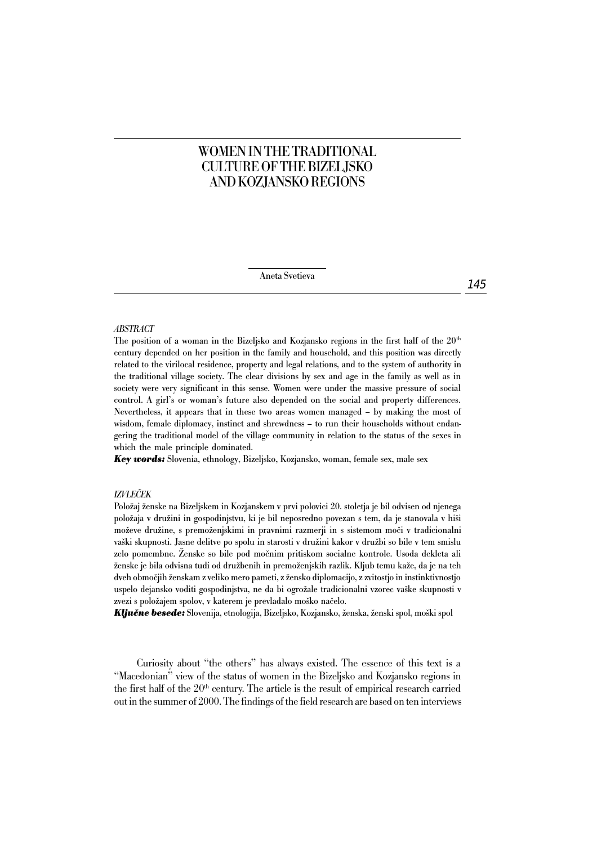# WOMEN IN THE TRADITIONAL CULTURE OF THE BIZELJSKO AND KOZJANSKO REGIONS

Aneta Svetieva

#### *ABSTRACT*

The position of a woman in the Bizeljsko and Kozjansko regions in the first half of the  $20<sup>th</sup>$ century depended on her position in the family and household, and this position was directly related to the virilocal residence, property and legal relations, and to the system of authority in the traditional village society. The clear divisions by sex and age in the family as well as in society were very significant in this sense. Women were under the massive pressure of social control. A girl's or woman's future also depended on the social and property differences. Nevertheless, it appears that in these two areas women managed – by making the most of wisdom, female diplomacy, instinct and shrewdness – to run their households without endangering the traditional model of the village community in relation to the status of the sexes in which the male principle dominated.

*Key words:* Slovenia, ethnology, Bizeljsko, Kozjansko, woman, female sex, male sex

#### *IZVLEČEK*

Položaj ženske na Bizeljskem in Kozjanskem v prvi polovici 20. stoletja je bil odvisen od njenega položaja v družini in gospodinjstvu, ki je bil neposredno povezan s tem, da je stanovala v hiši moževe družine, s premoženjskimi in pravnimi razmerji in s sistemom moči v tradicionalni vaški skupnosti. Jasne delitve po spolu in starosti v družini kakor v družbi so bile v tem smislu zelo pomembne. Ženske so bile pod močnim pritiskom socialne kontrole. Usoda dekleta ali ženske je bila odvisna tudi od družbenih in premoženjskih razlik. Kljub temu kaže, da je na teh dveh območjih ženskam z veliko mero pameti, z žensko diplomacijo, z zvitostjo in instinktivnostjo uspelo dejansko voditi gospodinjstva, ne da bi ogrožale tradicionalni vzorec vaške skupnosti v zvezi s položajem spolov, v katerem je prevladalo moško načelo.

*Ključne besede:* Slovenija, etnologija, Bizeljsko, Kozjansko, ženska, ženski spol, moški spol

Curiosity about "the others" has always existed. The essence of this text is a "Macedonian" view of the status of women in the Bizeljsko and Kozjansko regions in the first half of the  $20<sup>th</sup>$  century. The article is the result of empirical research carried out in the summer of 2000. The findings of the field research are based on ten interviews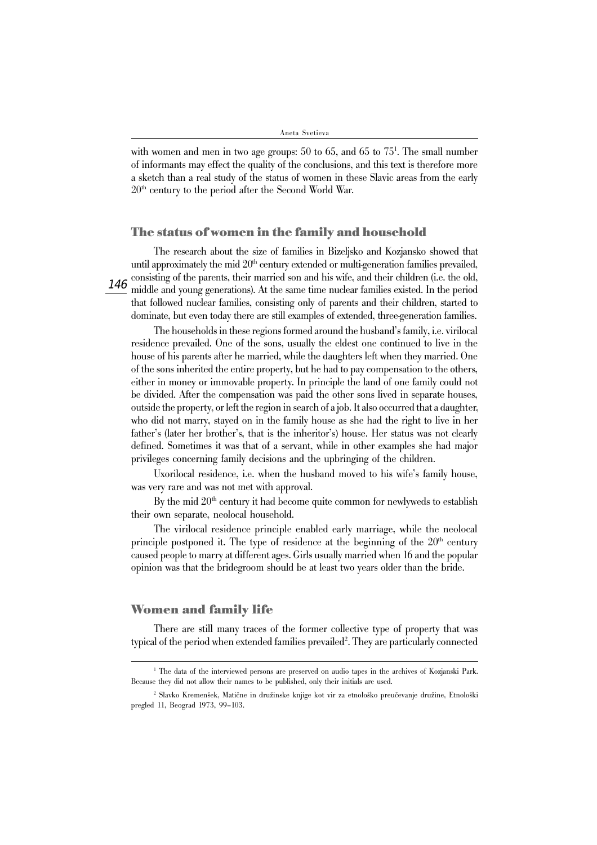with women and men in two age groups: 50 to 65, and 65 to 751 . The small number of informants may effect the quality of the conclusions, and this text is therefore more a sketch than a real study of the status of women in these Slavic areas from the early  $20<sup>th</sup>$  century to the period after the Second World War.

#### **The status of women in the family and household**

The research about the size of families in Bizeljsko and Kozjansko showed that until approximately the mid  $20<sup>th</sup>$  century extended or multi-generation families prevailed, consisting of the parents, their married son and his wife, and their children (i.e. the old, middle and young generations). At the same time nuclear families existed. In the period that followed nuclear families, consisting only of parents and their children, started to dominate, but even today there are still examples of extended, three-generation families.

The households in these regions formed around the husband's family, i.e. virilocal residence prevailed. One of the sons, usually the eldest one continued to live in the house of his parents after he married, while the daughters left when they married. One of the sons inherited the entire property, but he had to pay compensation to the others, either in money or immovable property. In principle the land of one family could not be divided. After the compensation was paid the other sons lived in separate houses, outside the property, or left the region in search of a job. It also occurred that a daughter, who did not marry, stayed on in the family house as she had the right to live in her father's (later her brother's, that is the inheritor's) house. Her status was not clearly defined. Sometimes it was that of a servant, while in other examples she had major privileges concerning family decisions and the upbringing of the children.

Uxorilocal residence, i.e. when the husband moved to his wife's family house, was very rare and was not met with approval.

By the mid  $20<sup>th</sup>$  century it had become quite common for newlyweds to establish their own separate, neolocal household.

The virilocal residence principle enabled early marriage, while the neolocal principle postponed it. The type of residence at the beginning of the  $20<sup>th</sup>$  century caused people to marry at different ages. Girls usually married when 16 and the popular opinion was that the bridegroom should be at least two years older than the bride.

#### **Women and family life**

There are still many traces of the former collective type of property that was typical of the period when extended families prevailed<sup>2</sup>. They are particularly connected

<sup>1</sup> The data of the interviewed persons are preserved on audio tapes in the archives of Kozjanski Park. Because they did not allow their names to be published, only their initials are used.

<sup>2</sup> Slavko Kremenšek, Matične in družinske knjige kot vir za etnološko preučevanje družine, Etnološki pregled 11, Beograd 1973, 99–103.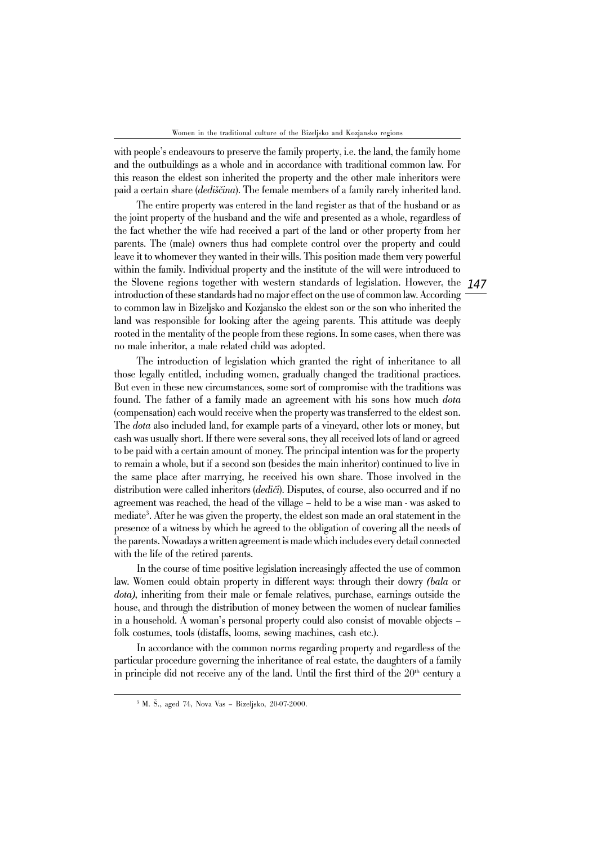with people's endeavours to preserve the family property, i.e. the land, the family home and the outbuildings as a whole and in accordance with traditional common law. For this reason the eldest son inherited the property and the other male inheritors were paid a certain share (*dediščina*). The female members of a family rarely inherited land.

the Slovene regions together with western standards of legislation. However, the 147 The entire property was entered in the land register as that of the husband or as the joint property of the husband and the wife and presented as a whole, regardless of the fact whether the wife had received a part of the land or other property from her parents. The (male) owners thus had complete control over the property and could leave it to whomever they wanted in their wills. This position made them very powerful within the family. Individual property and the institute of the will were introduced to introduction of these standards had no major effect on the use of common law. According to common law in Bizeljsko and Kozjansko the eldest son or the son who inherited the land was responsible for looking after the ageing parents. This attitude was deeply rooted in the mentality of the people from these regions. In some cases, when there was no male inheritor, a male related child was adopted.

The introduction of legislation which granted the right of inheritance to all those legally entitled, including women, gradually changed the traditional practices. But even in these new circumstances, some sort of compromise with the traditions was found. The father of a family made an agreement with his sons how much *dota* (compensation) each would receive when the property was transferred to the eldest son. The *dota* also included land, for example parts of a vineyard, other lots or money, but cash was usually short. If there were several sons, they all received lots of land or agreed to be paid with a certain amount of money. The principal intention was for the property to remain a whole, but if a second son (besides the main inheritor) continued to live in the same place after marrying, he received his own share. Those involved in the distribution were called inheritors (*dediči*). Disputes, of course, also occurred and if no agreement was reached, the head of the village – held to be a wise man - was asked to mediate3 . After he was given the property, the eldest son made an oral statement in the presence of a witness by which he agreed to the obligation of covering all the needs of the parents. Nowadays a written agreement is made which includes every detail connected with the life of the retired parents.

In the course of time positive legislation increasingly affected the use of common law. Women could obtain property in different ways: through their dowry *(bala* or *dota),* inheriting from their male or female relatives, purchase, earnings outside the house, and through the distribution of money between the women of nuclear families in a household. A woman's personal property could also consist of movable objects – folk costumes, tools (distaffs, looms, sewing machines, cash etc.).

In accordance with the common norms regarding property and regardless of the particular procedure governing the inheritance of real estate, the daughters of a family in principle did not receive any of the land. Until the first third of the  $20<sup>th</sup>$  century a

<sup>3</sup> M. Š., aged 74, Nova Vas – Bizeljsko, 20-07-2000.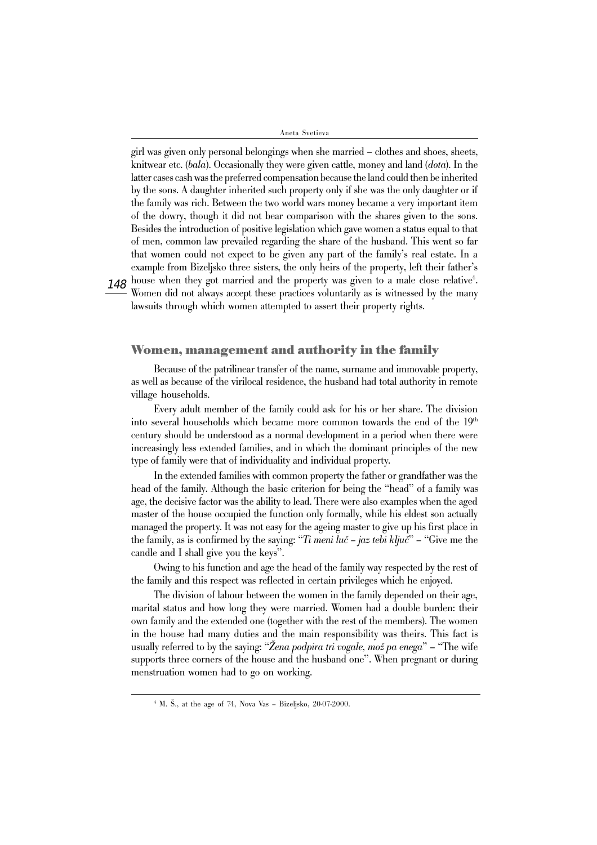$148$  house when they got married and the property was given to a male close relative $^4\!$ . girl was given only personal belongings when she married – clothes and shoes, sheets, knitwear etc. (*bala*). Occasionally they were given cattle, money and land (*dota*). In the latter cases cash was the preferred compensation because the land could then be inherited by the sons. A daughter inherited such property only if she was the only daughter or if the family was rich. Between the two world wars money became a very important item of the dowry, though it did not bear comparison with the shares given to the sons. Besides the introduction of positive legislation which gave women a status equal to that of men, common law prevailed regarding the share of the husband. This went so far that women could not expect to be given any part of the family's real estate. In a example from Bizeljsko three sisters, the only heirs of the property, left their father's Women did not always accept these practices voluntarily as is witnessed by the many

lawsuits through which women attempted to assert their property rights.

#### **Women, management and authority in the family**

Because of the patrilinear transfer of the name, surname and immovable property, as well as because of the virilocal residence, the husband had total authority in remote village households.

Every adult member of the family could ask for his or her share. The division into several households which became more common towards the end of the 19th century should be understood as a normal development in a period when there were increasingly less extended families, and in which the dominant principles of the new type of family were that of individuality and individual property.

In the extended families with common property the father or grandfather was the head of the family. Although the basic criterion for being the "head" of a family was age, the decisive factor was the ability to lead. There were also examples when the aged master of the house occupied the function only formally, while his eldest son actually managed the property. It was not easy for the ageing master to give up his first place in the family, as is confirmed by the saying: "*Ti meni luč – jaz tebi ključ*" – "Give me the candle and I shall give you the keys".

Owing to his function and age the head of the family way respected by the rest of the family and this respect was reflected in certain privileges which he enjoyed.

The division of labour between the women in the family depended on their age, marital status and how long they were married. Women had a double burden: their own family and the extended one (together with the rest of the members). The women in the house had many duties and the main responsibility was theirs. This fact is usually referred to by the saying: "*Žena podpira tri vogale, mož pa enega*" – "The wife supports three corners of the house and the husband one". When pregnant or during menstruation women had to go on working.

<sup>4</sup> M. Š., at the age of 74, Nova Vas – Bizeljsko, 20-07-2000.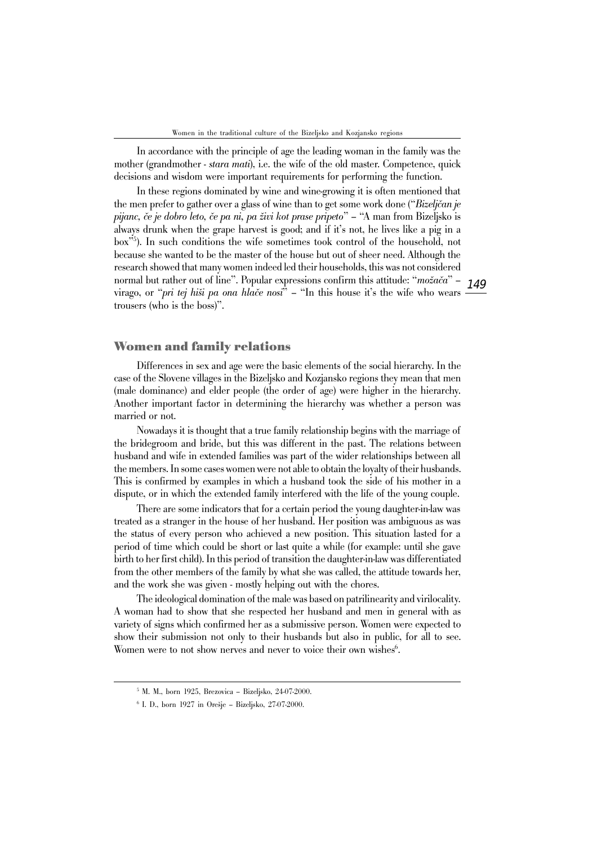In accordance with the principle of age the leading woman in the family was the mother (grandmother - *stara mati*), i.e. the wife of the old master. Competence, quick decisions and wisdom were important requirements for performing the function.

In these regions dominated by wine and wine-growing it is often mentioned that the men prefer to gather over a glass of wine than to get some work done ("*Bizeljčan je pijanc, če je dobro leto, če pa ni, pa živi kot prase pripeto*" – "A man from Bizeljsko is always drunk when the grape harvest is good; and if it's not, he lives like a pig in a box"5 ). In such conditions the wife sometimes took control of the household, not because she wanted to be the master of the house but out of sheer need. Although the research showed that many women indeed led their households, this was not considered normal but rather out of line". Popular expressions confirm this attitude: "*možača*" – virago, or "*pri tej hiši pa ona hlače nosi*" – "In this house it's the wife who wears trousers (who is the boss)".

149

## **Women and family relations**

Differences in sex and age were the basic elements of the social hierarchy. In the case of the Slovene villages in the Bizeljsko and Kozjansko regions they mean that men (male dominance) and elder people (the order of age) were higher in the hierarchy. Another important factor in determining the hierarchy was whether a person was married or not.

Nowadays it is thought that a true family relationship begins with the marriage of the bridegroom and bride, but this was different in the past. The relations between husband and wife in extended families was part of the wider relationships between all the members. In some cases women were not able to obtain the loyalty of their husbands. This is confirmed by examples in which a husband took the side of his mother in a dispute, or in which the extended family interfered with the life of the young couple.

There are some indicators that for a certain period the young daughter-in-law was treated as a stranger in the house of her husband. Her position was ambiguous as was the status of every person who achieved a new position. This situation lasted for a period of time which could be short or last quite a while (for example: until she gave birth to her first child). In this period of transition the daughter-in-law was differentiated from the other members of the family by what she was called, the attitude towards her, and the work she was given - mostly helping out with the chores.

The ideological domination of the male was based on patrilinearity and virilocality. A woman had to show that she respected her husband and men in general with as variety of signs which confirmed her as a submissive person. Women were expected to show their submission not only to their husbands but also in public, for all to see. Women were to not show nerves and never to voice their own wishes<sup>6</sup>.

<sup>5</sup> M. M., born 1925, Brezovica – Bizeljsko, 24-07-2000.

<sup>6</sup> I. D., born 1927 in Orešje – Bizeljsko, 27-07-2000.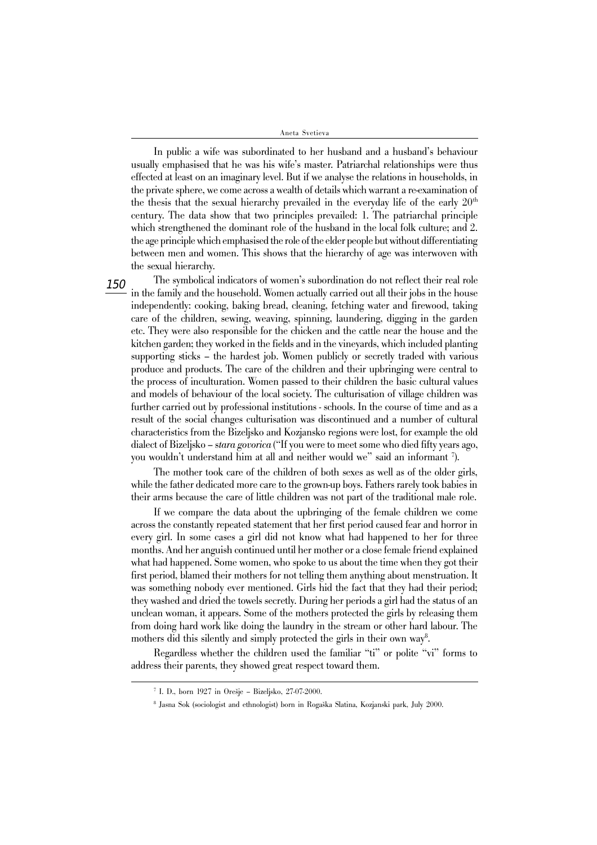In public a wife was subordinated to her husband and a husband's behaviour usually emphasised that he was his wife's master. Patriarchal relationships were thus effected at least on an imaginary level. But if we analyse the relations in households, in the private sphere, we come across a wealth of details which warrant a re-examination of the thesis that the sexual hierarchy prevailed in the everyday life of the early  $20<sup>th</sup>$ century. The data show that two principles prevailed: 1. The patriarchal principle which strengthened the dominant role of the husband in the local folk culture; and 2. the age principle which emphasised the role of the elder people but without differentiating between men and women. This shows that the hierarchy of age was interwoven with the sexual hierarchy.

150 The symbolical indicators of women's subordination do not reflect their real role in the family and the household. Women actually carried out all their jobs in the house independently: cooking, baking bread, cleaning, fetching water and firewood, taking care of the children, sewing, weaving, spinning, laundering, digging in the garden etc. They were also responsible for the chicken and the cattle near the house and the kitchen garden; they worked in the fields and in the vineyards, which included planting supporting sticks – the hardest job. Women publicly or secretly traded with various produce and products. The care of the children and their upbringing were central to the process of inculturation. Women passed to their children the basic cultural values and models of behaviour of the local society. The culturisation of village children was further carried out by professional institutions - schools. In the course of time and as a result of the social changes culturisation was discontinued and a number of cultural characteristics from the Bizeljsko and Kozjansko regions were lost, for example the old dialect of Bizeljsko – s*tara govorica* ("If you were to meet some who died fifty years ago, you wouldn't understand him at all and neither would we" said an informant 7 ).

The mother took care of the children of both sexes as well as of the older girls, while the father dedicated more care to the grown-up boys. Fathers rarely took babies in their arms because the care of little children was not part of the traditional male role.

If we compare the data about the upbringing of the female children we come across the constantly repeated statement that her first period caused fear and horror in every girl. In some cases a girl did not know what had happened to her for three months. And her anguish continued until her mother or a close female friend explained what had happened. Some women, who spoke to us about the time when they got their first period, blamed their mothers for not telling them anything about menstruation. It was something nobody ever mentioned. Girls hid the fact that they had their period; they washed and dried the towels secretly. During her periods a girl had the status of an unclean woman, it appears. Some of the mothers protected the girls by releasing them from doing hard work like doing the laundry in the stream or other hard labour. The mothers did this silently and simply protected the girls in their own way<sup>8</sup>.

Regardless whether the children used the familiar "ti" or polite "vi" forms to address their parents, they showed great respect toward them.

<sup>7</sup> I. D., born 1927 in Orešje – Bizeljsko, 27-07-2000.

<sup>8</sup> Jasna Sok (sociologist and ethnologist) born in Rogaška Slatina, Kozjanski park, July 2000.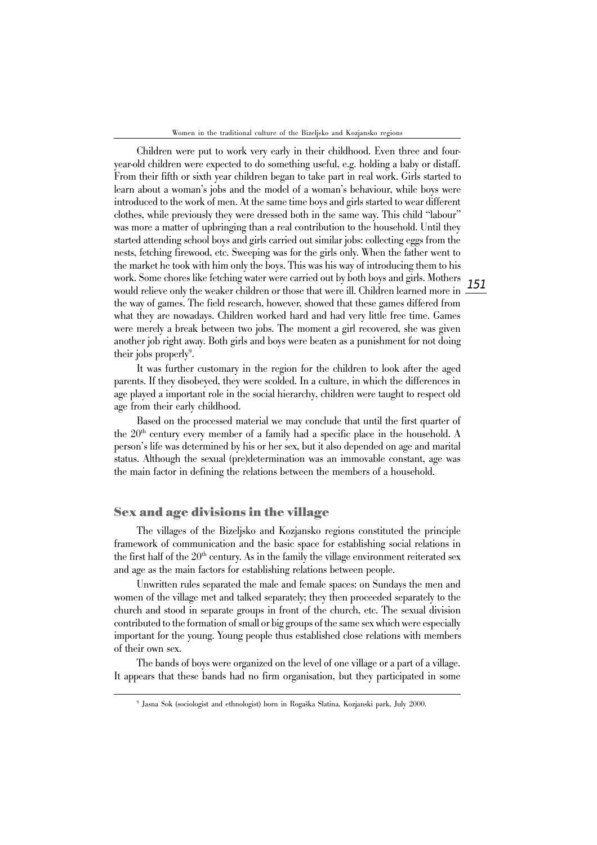Women in the traditional culture of the Bizeljsko and Kozjansko regions

Children were put to work very early in their childhood. Even three and fouryear-old children were expected to do something useful, e.g. holding a baby or distaff. From their fifth or sixth year children began to take part in real work. Girls started to learn about a woman's jobs and the model of a woman's behaviour, while boys were introduced to the work of men. At the same time boys and girls started to wear different clothes, while previously they were dressed both in the same way. This child "labour" was more a matter of upbringing than a real contribution to the household. Until they started attending school boys and girls carried out similar jobs: collecting eggs from the nests, fetching firewood, etc. Sweeping was for the girls only. When the father went to the market he took with him only the boys. This was his way of introducing them to his work. Some chores like fetching water were carried out by both boys and girls. Mothers would relieve only the weaker children or those that were ill. Children learned more in the way of games. The field research, however, showed that these games differed from what they are nowadays. Children worked hard and had very little free time. Games were merely a break between two jobs. The moment a girl recovered, she was given another job right away. Both girls and boys were beaten as a punishment for not doing their jobs properly<sup>9</sup>.

It was further customary in the region for the children to look after the aged parents. If they disobeyed, they were scolded. In a culture, in which the differences in age played a important role in the social hierarchy, children were taught to respect old age from their early childhood.

Based on the processed material we may conclude that until the first quarter of the 20<sup>th</sup> century every member of a family had a specific place in the household. A person's life was determined by his or her sex, but it also depended on age and marital status. Although the sexual (pre)determination was an immovable constant, age was the main factor in defining the relations between the members of a household.

#### **Sex and age divisions in the village**

The villages of the Bizeljsko and Kozjansko regions constituted the principle framework of communication and the basic space for establishing social relations in the first half of the  $20<sup>th</sup>$  century. As in the family the village environment reiterated sex and age as the main factors for establishing relations between people.

Unwritten rules separated the male and female spaces: on Sundays the men and women of the village met and talked separately; they then proceeded separately to the church and stood in separate groups in front of the church, etc. The sexual division contributed to the formation of small or big groups of the same sex which were especially important for the young. Young people thus established close relations with members of their own sex.

The bands of boys were organized on the level of one village or a part of a village. It appears that these bands had no firm organisation, but they participated in some

<sup>9</sup> Jasna Sok (sociologist and ethnologist) born in Rogaška Slatina, Kozjanski park, July 2000.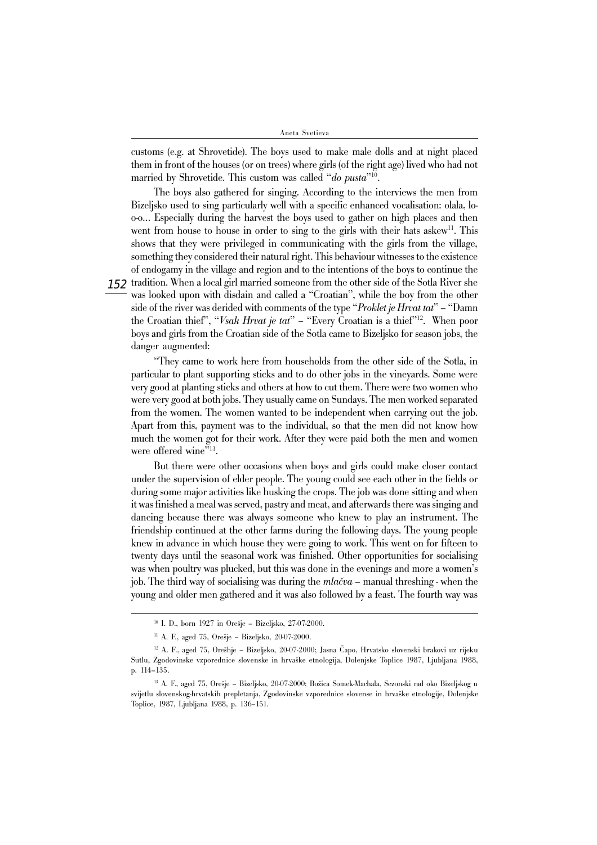customs (e.g. at Shrovetide). The boys used to make male dolls and at night placed them in front of the houses (or on trees) where girls (of the right age) lived who had not married by Shrovetide. This custom was called "*do pusta*"10.

The boys also gathered for singing. According to the interviews the men from Bizeljsko used to sing particularly well with a specific enhanced vocalisation: olala, loo-o… Especially during the harvest the boys used to gather on high places and then went from house to house in order to sing to the girls with their hats askew<sup>11</sup>. This shows that they were privileged in communicating with the girls from the village, something they considered their natural right. This behaviour witnesses to the existence of endogamy in the village and region and to the intentions of the boys to continue the

 $152\,$  tradition. When a local girl married someone from the other side of the Sotla River she was looked upon with disdain and called a "Croatian", while the boy from the other side of the river was derided with comments of the type "*Proklet je Hrvat tat*" – "Damn the Croatian thief", "*Vsak Hrvat je tat*" – "Every Croatian is a thief"12. When poor boys and girls from the Croatian side of the Sotla came to Bizeljsko for season jobs, the danger augmented:

"They came to work here from households from the other side of the Sotla, in particular to plant supporting sticks and to do other jobs in the vineyards. Some were very good at planting sticks and others at how to cut them. There were two women who were very good at both jobs. They usually came on Sundays. The men worked separated from the women. The women wanted to be independent when carrying out the job. Apart from this, payment was to the individual, so that the men did not know how much the women got for their work. After they were paid both the men and women were offered wine"<sup>13</sup>.

But there were other occasions when boys and girls could make closer contact under the supervision of elder people. The young could see each other in the fields or during some major activities like husking the crops. The job was done sitting and when it was finished a meal was served, pastry and meat, and afterwards there was singing and dancing because there was always someone who knew to play an instrument. The friendship continued at the other farms during the following days. The young people knew in advance in which house they were going to work. This went on for fifteen to twenty days until the seasonal work was finished. Other opportunities for socialising was when poultry was plucked, but this was done in the evenings and more a women's job. The third way of socialising was during the *mlačva* – manual threshing - when the young and older men gathered and it was also followed by a feast. The fourth way was

<sup>10</sup> I. D., born 1927 in Orešje – Bizeljsko, 27-07-2000.

<sup>11</sup> A. F., aged 75, Orešje – Bizeljsko, 20-07-2000.

<sup>12</sup> A. F., aged 75, Orešhje – Bizeljsko, 20-07-2000; Jasna Čapo, Hrvatsko slovenski brakovi uz rijeku Sutlu, Zgodovinske vzporednice slovenske in hrvaške etnologija, Dolenjske Toplice 1987, Ljubljana 1988, p. 114–135.

<sup>&</sup>lt;sup>13</sup> A. F., aged 75, Orešje – Bizeljsko, 20-07-2000; Božica Somek-Machala, Sezonski rad oko Bizeljskog u svijetlu slovenskog-hrvatskih prepletanja, Zgodovinske vzporednice slovense in hrvaške etnologije, Dolenjske Toplice, 1987, Ljubljana 1988, p. 136–151.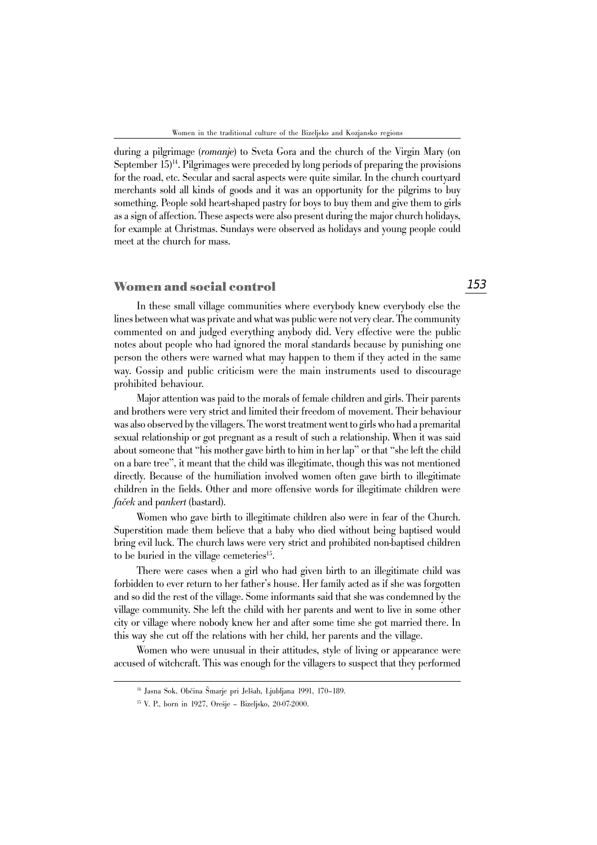during a pilgrimage (*romanje*) to Sveta Gora and the church of the Virgin Mary (on September  $15)^{14}$ . Pilgrimages were preceded by long periods of preparing the provisions for the road, etc. Secular and sacral aspects were quite similar. In the church courtyard merchants sold all kinds of goods and it was an opportunity for the pilgrims to buy something. People sold heart-shaped pastry for boys to buy them and give them to girls as a sign of affection. These aspects were also present during the major church holidays, for example at Christmas. Sundays were observed as holidays and young people could meet at the church for mass.

#### **Women and social control**

In these small village communities where everybody knew everybody else the lines between what was private and what was public were not very clear. The community commented on and judged everything anybody did. Very effective were the public notes about people who had ignored the moral standards because by punishing one person the others were warned what may happen to them if they acted in the same way. Gossip and public criticism were the main instruments used to discourage prohibited behaviour.

Major attention was paid to the morals of female children and girls. Their parents and brothers were very strict and limited their freedom of movement. Their behaviour was also observed by the villagers. The worst treatment went to girls who had a premarital sexual relationship or got pregnant as a result of such a relationship. When it was said about someone that "his mother gave birth to him in her lap" or that "she left the child on a bare tree", it meant that the child was illegitimate, though this was not mentioned directly. Because of the humiliation involved women often gave birth to illegitimate children in the fields. Other and more offensive words for illegitimate children were *faček* and p*ankert* (bastard).

Women who gave birth to illegitimate children also were in fear of the Church. Superstition made them believe that a baby who died without being baptised would bring evil luck. The church laws were very strict and prohibited non-baptised children to be buried in the village cemeteries<sup>15</sup>.

There were cases when a girl who had given birth to an illegitimate child was forbidden to ever return to her father's house. Her family acted as if she was forgotten and so did the rest of the village. Some informants said that she was condemned by the village community. She left the child with her parents and went to live in some other city or village where nobody knew her and after some time she got married there. In this way she cut off the relations with her child, her parents and the village.

Women who were unusual in their attitudes, style of living or appearance were accused of witchcraft. This was enough for the villagers to suspect that they performed

<sup>14</sup> Jasna Sok, Občina Šmarje pri Jelšah, Ljubljana 1991, 170–189.

<sup>15</sup> V. P., born in 1927, Orešje – Bizeljsko, 20-07-2000.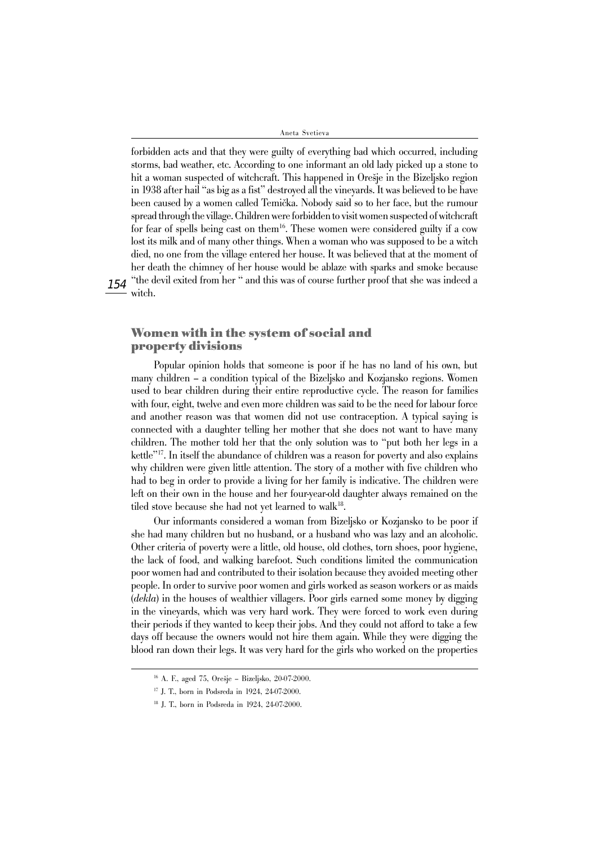$154\,\mathrm{``the\,\,devil\,\,exited\,\,from\,\,her\,\,``\,and\,\,this\,\,was\,\,of\,\,course\,\,further\,\,proof\,\,that\,\,she\,\,was\,\,indeed\,\,a}$ forbidden acts and that they were guilty of everything bad which occurred, including storms, bad weather, etc. According to one informant an old lady picked up a stone to hit a woman suspected of witchcraft. This happened in Orešje in the Bizeljsko region in 1938 after hail "as big as a fist" destroyed all the vineyards. It was believed to be have been caused by a women called Temička. Nobody said so to her face, but the rumour spread through the village. Children were forbidden to visit women suspected of witchcraft for fear of spells being cast on them<sup>16</sup>. These women were considered guilty if a cow lost its milk and of many other things. When a woman who was supposed to be a witch died, no one from the village entered her house. It was believed that at the moment of her death the chimney of her house would be ablaze with sparks and smoke because witch.

# **Women with in the system of social and property divisions**

Popular opinion holds that someone is poor if he has no land of his own, but many children – a condition typical of the Bizeljsko and Kozjansko regions. Women used to bear children during their entire reproductive cycle. The reason for families with four, eight, twelve and even more children was said to be the need for labour force and another reason was that women did not use contraception. A typical saying is connected with a daughter telling her mother that she does not want to have many children. The mother told her that the only solution was to "put both her legs in a kettle"17. In itself the abundance of children was a reason for poverty and also explains why children were given little attention. The story of a mother with five children who had to beg in order to provide a living for her family is indicative. The children were left on their own in the house and her four-year-old daughter always remained on the tiled stove because she had not yet learned to walk<sup>18</sup>.

Our informants considered a woman from Bizeljsko or Kozjansko to be poor if she had many children but no husband, or a husband who was lazy and an alcoholic. Other criteria of poverty were a little, old house, old clothes, torn shoes, poor hygiene, the lack of food, and walking barefoot. Such conditions limited the communication poor women had and contributed to their isolation because they avoided meeting other people. In order to survive poor women and girls worked as season workers or as maids (*dekla*) in the houses of wealthier villagers. Poor girls earned some money by digging in the vineyards, which was very hard work. They were forced to work even during their periods if they wanted to keep their jobs. And they could not afford to take a few days off because the owners would not hire them again. While they were digging the blood ran down their legs. It was very hard for the girls who worked on the properties

<sup>16</sup> A. F., aged 75, Orešje – Bizeljsko, 20-07-2000.

<sup>17</sup> J. T., born in Podsreda in 1924, 24-07-2000.

<sup>18</sup> J. T., born in Podsreda in 1924, 24-07-2000.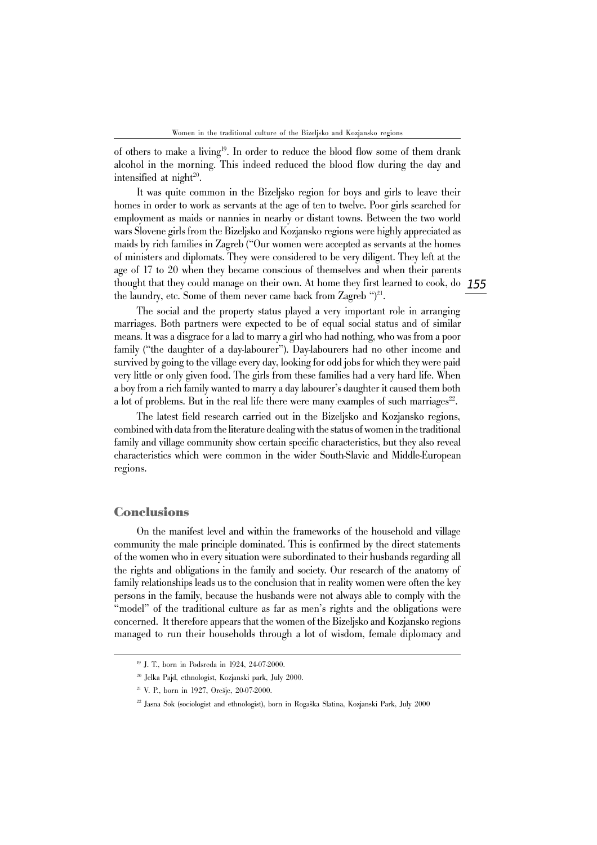of others to make a living<sup>19</sup>. In order to reduce the blood flow some of them drank alcohol in the morning. This indeed reduced the blood flow during the day and intensified at night $20$ .

thought that they could manage on their own. At home they first learned to cook, do  $155$ It was quite common in the Bizeljsko region for boys and girls to leave their homes in order to work as servants at the age of ten to twelve. Poor girls searched for employment as maids or nannies in nearby or distant towns. Between the two world wars Slovene girls from the Bizeljsko and Kozjansko regions were highly appreciated as maids by rich families in Zagreb ("Our women were accepted as servants at the homes of ministers and diplomats. They were considered to be very diligent. They left at the age of 17 to 20 when they became conscious of themselves and when their parents the laundry, etc. Some of them never came back from Zagreb " $)^{21}$ .

The social and the property status played a very important role in arranging marriages. Both partners were expected to be of equal social status and of similar means. It was a disgrace for a lad to marry a girl who had nothing, who was from a poor family ("the daughter of a day-labourer"). Day-labourers had no other income and survived by going to the village every day, looking for odd jobs for which they were paid very little or only given food. The girls from these families had a very hard life. When a boy from a rich family wanted to marry a day labourer's daughter it caused them both a lot of problems. But in the real life there were many examples of such marriages<sup>22</sup>.

The latest field research carried out in the Bizeljsko and Kozjansko regions, combined with data from the literature dealing with the status of women in the traditional family and village community show certain specific characteristics, but they also reveal characteristics which were common in the wider South-Slavic and Middle-European regions.

## **Conclusions**

On the manifest level and within the frameworks of the household and village community the male principle dominated. This is confirmed by the direct statements of the women who in every situation were subordinated to their husbands regarding all the rights and obligations in the family and society. Our research of the anatomy of family relationships leads us to the conclusion that in reality women were often the key persons in the family, because the husbands were not always able to comply with the "model" of the traditional culture as far as men's rights and the obligations were concerned. It therefore appears that the women of the Bizeljsko and Kozjansko regions managed to run their households through a lot of wisdom, female diplomacy and

<sup>19</sup> J. T., born in Podsreda in 1924, 24-07-2000.

<sup>20</sup> Jelka Pajd, ethnologist, Kozjanski park, July 2000.

<sup>21</sup> V. P., born in 1927, Orešje, 20-07-2000.

<sup>22</sup> Jasna Sok (sociologist and ethnologist), born in Rogaška Slatina, Kozjanski Park, July 2000